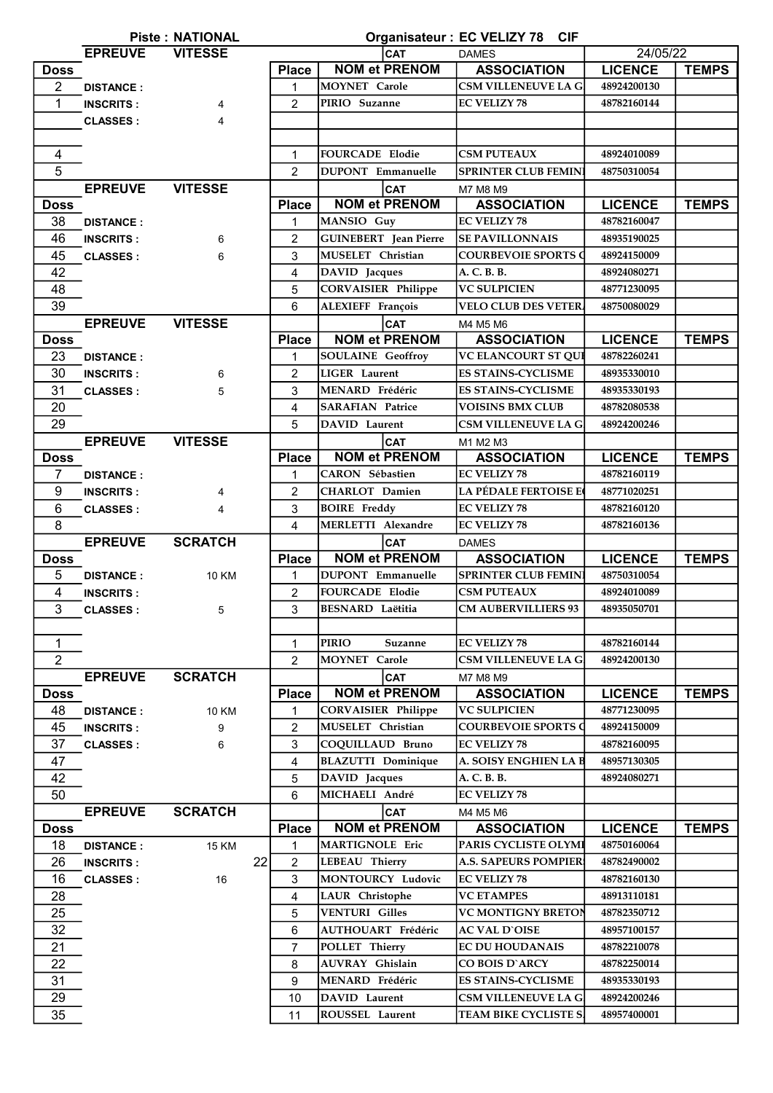|                | Organisateur : EC VELIZY 78 CIF<br><b>Piste: NATIONAL</b> |                |                |                              |                              |                |              |  |  |
|----------------|-----------------------------------------------------------|----------------|----------------|------------------------------|------------------------------|----------------|--------------|--|--|
|                | <b>EPREUVE</b><br><b>VITESSE</b>                          |                |                | CAT<br><b>DAMES</b>          |                              |                | 24/05/22     |  |  |
| <b>Doss</b>    |                                                           |                | <b>Place</b>   | <b>NOM et PRENOM</b>         | <b>ASSOCIATION</b>           | <b>LICENCE</b> | <b>TEMPS</b> |  |  |
| $\overline{2}$ | <b>DISTANCE:</b>                                          |                | 1              | MOYNET Carole                | CSM VILLENEUVE LA G.         | 48924200130    |              |  |  |
| 1              | <b>INSCRITS:</b>                                          | 4              | $\overline{2}$ | PIRIO Suzanne                | <b>EC VELIZY 78</b>          | 48782160144    |              |  |  |
|                | <b>CLASSES:</b>                                           | 4              |                |                              |                              |                |              |  |  |
|                |                                                           |                |                |                              |                              |                |              |  |  |
| $\overline{4}$ |                                                           |                | $\mathbf{1}$   | <b>FOURCADE Elodie</b>       | <b>CSM PUTEAUX</b>           | 48924010089    |              |  |  |
| 5              |                                                           |                | $\mathcal{P}$  | <b>DUPONT</b> Emmanuelle     | <b>SPRINTER CLUB FEMIN</b>   | 48750310054    |              |  |  |
|                | <b>EPREUVE</b>                                            | <b>VITESSE</b> |                | <b>CAT</b>                   | M7 M8 M9                     |                |              |  |  |
| <b>Doss</b>    |                                                           |                | <b>Place</b>   | <b>NOM et PRENOM</b>         | <b>ASSOCIATION</b>           | <b>LICENCE</b> | <b>TEMPS</b> |  |  |
| 38             | <b>DISTANCE:</b>                                          |                | 1              | MANSIO Guy                   | <b>EC VELIZY 78</b>          | 48782160047    |              |  |  |
| 46             | <b>INSCRITS:</b>                                          | 6              | $\overline{2}$ | <b>GUINEBERT</b> Jean Pierre | <b>SE PAVILLONNAIS</b>       | 48935190025    |              |  |  |
| 45             | <b>CLASSES:</b>                                           | 6              | 3              | MUSELET Christian            | <b>COURBEVOIE SPORTS O</b>   | 48924150009    |              |  |  |
| 42             |                                                           |                | 4              | DAVID Jacques                | A. C. B. B.                  | 48924080271    |              |  |  |
| 48             |                                                           |                | 5              | <b>CORVAISIER Philippe</b>   | <b>VC SULPICIEN</b>          | 48771230095    |              |  |  |
| 39             |                                                           |                | 6              | ALEXIEFF François            | <b>VELO CLUB DES VETER.</b>  | 48750080029    |              |  |  |
|                | <b>EPREUVE</b>                                            | <b>VITESSE</b> |                | <b>CAT</b>                   | M4 M5 M6                     |                |              |  |  |
| <b>Doss</b>    |                                                           |                | <b>Place</b>   | <b>NOM et PRENOM</b>         | <b>ASSOCIATION</b>           | <b>LICENCE</b> | <b>TEMPS</b> |  |  |
| 23             | <b>DISTANCE:</b>                                          |                | 1              | <b>SOULAINE</b> Geoffroy     | <b>VC ELANCOURT ST QUI</b>   | 48782260241    |              |  |  |
| 30             | <b>INSCRITS:</b>                                          | 6              | $\overline{2}$ | <b>LIGER</b> Laurent         | <b>ES STAINS-CYCLISME</b>    | 48935330010    |              |  |  |
| 31             | <b>CLASSES:</b>                                           | 5              | 3              | MENARD Frédéric              | <b>ES STAINS-CYCLISME</b>    | 48935330193    |              |  |  |
| 20             |                                                           |                | 4              | <b>SARAFIAN Patrice</b>      | <b>VOISINS BMX CLUB</b>      | 48782080538    |              |  |  |
| 29             |                                                           |                | 5              | DAVID Laurent                | <b>CSM VILLENEUVE LA G.</b>  | 48924200246    |              |  |  |
|                | <b>EPREUVE</b>                                            | <b>VITESSE</b> |                | <b>CAT</b>                   | M1 M2 M3                     |                |              |  |  |
| <b>Doss</b>    |                                                           |                | <b>Place</b>   | <b>NOM et PRENOM</b>         | <b>ASSOCIATION</b>           | <b>LICENCE</b> | <b>TEMPS</b> |  |  |
| 7              | <b>DISTANCE:</b>                                          |                | 1              | <b>CARON</b> Sébastien       | <b>EC VELIZY 78</b>          | 48782160119    |              |  |  |
| 9              |                                                           |                | $\overline{2}$ | <b>CHARLOT</b> Damien        | <b>LA PÉDALE FERTOISE E</b>  | 48771020251    |              |  |  |
| $6\phantom{1}$ | <b>INSCRITS:</b>                                          | 4              | 3              | <b>BOIRE</b> Freddy          | <b>EC VELIZY 78</b>          | 48782160120    |              |  |  |
|                | <b>CLASSES:</b>                                           | 4              |                |                              |                              |                |              |  |  |
| 8              |                                                           |                | $\overline{4}$ | <b>MERLETTI Alexandre</b>    | <b>EC VELIZY 78</b>          | 48782160136    |              |  |  |
|                | <b>EPREUVE</b>                                            | <b>SCRATCH</b> |                | <b>CAT</b>                   | <b>DAMES</b>                 |                |              |  |  |
| <b>Doss</b>    |                                                           |                | <b>Place</b>   | <b>NOM et PRENOM</b>         | <b>ASSOCIATION</b>           | <b>LICENCE</b> | <b>TEMPS</b> |  |  |
| 5              | <b>DISTANCE:</b>                                          | <b>10 KM</b>   | 1              | <b>DUPONT</b> Emmanuelle     | <b>SPRINTER CLUB FEMIN</b>   | 48750310054    |              |  |  |
| 4              | <b>INSCRITS:</b>                                          |                | $\overline{2}$ | <b>FOURCADE Elodie</b>       | <b>CSM PUTEAUX</b>           | 48924010089    |              |  |  |
| 3              | <b>CLASSES:</b>                                           | 5              | 3              | <b>BESNARD</b> Laëtitia      | <b>CM AUBERVILLIERS 93</b>   | 48935050701    |              |  |  |
|                |                                                           |                |                |                              |                              |                |              |  |  |
| $\mathbf 1$    |                                                           |                | 1              | <b>PIRIO</b><br>Suzanne      | <b>EC VELIZY 78</b>          | 48782160144    |              |  |  |
| $\overline{2}$ |                                                           |                | $\overline{2}$ | MOYNET Carole                | <b>CSM VILLENEUVE LA G</b>   | 48924200130    |              |  |  |
|                | <b>EPREUVE</b>                                            | <b>SCRATCH</b> |                | <b>CAT</b>                   | M7 M8 M9                     |                |              |  |  |
| <b>Doss</b>    |                                                           |                | <b>Place</b>   | <b>NOM et PRENOM</b>         | <b>ASSOCIATION</b>           | <b>LICENCE</b> | <b>TEMPS</b> |  |  |
| 48             | <b>DISTANCE:</b>                                          | <b>10 KM</b>   | 1              | <b>CORVAISIER Philippe</b>   | <b>VC SULPICIEN</b>          | 48771230095    |              |  |  |
| 45             | <b>INSCRITS:</b>                                          | 9              | 2              | MUSELET Christian            | <b>COURBEVOIE SPORTS O</b>   | 48924150009    |              |  |  |
| 37             | <b>CLASSES:</b>                                           | 6              | 3              | COQUILLAUD Bruno             | <b>EC VELIZY 78</b>          | 48782160095    |              |  |  |
| 47             |                                                           |                | 4              | <b>BLAZUTTI</b> Dominique    | <b>A. SOISY ENGHIEN LA B</b> | 48957130305    |              |  |  |
| 42             |                                                           |                | 5              | DAVID Jacques                | A. C. B. B.                  | 48924080271    |              |  |  |
| 50             |                                                           |                | 6              | MICHAELI André               | <b>EC VELIZY 78</b>          |                |              |  |  |
|                | <b>EPREUVE</b>                                            | <b>SCRATCH</b> |                | <b>CAT</b>                   | M4 M5 M6                     |                |              |  |  |
| <b>Doss</b>    |                                                           |                | <b>Place</b>   | <b>NOM et PRENOM</b>         | <b>ASSOCIATION</b>           | <b>LICENCE</b> | <b>TEMPS</b> |  |  |
| 18             | <b>DISTANCE:</b>                                          | <b>15 KM</b>   | 1              | <b>MARTIGNOLE Eric</b>       | PARIS CYCLISTE OLYMI         | 48750160064    |              |  |  |
| 26             | <b>INSCRITS:</b>                                          | 22             | $\overline{c}$ | LEBEAU Thierry               | <b>A.S. SAPEURS POMPIER</b>  | 48782490002    |              |  |  |
| 16             | <b>CLASSES:</b>                                           | 16             | 3              | MONTOURCY Ludovic            | <b>EC VELIZY 78</b>          | 48782160130    |              |  |  |
| 28             |                                                           |                | 4              | LAUR Christophe              | <b>VC ETAMPES</b>            | 48913110181    |              |  |  |
| 25             |                                                           |                | 5              | <b>VENTURI Gilles</b>        | <b>VC MONTIGNY BRETON</b>    | 48782350712    |              |  |  |
| 32             |                                                           |                | 6              | AUTHOUART Frédéric           | <b>AC VAL D'OISE</b>         | 48957100157    |              |  |  |
| 21             |                                                           |                | $\overline{7}$ | POLLET Thierry               | <b>EC DU HOUDANAIS</b>       | 48782210078    |              |  |  |
| 22             |                                                           |                | 8              | <b>AUVRAY</b> Ghislain       | CO BOIS D'ARCY               | 48782250014    |              |  |  |
| 31             |                                                           |                | 9              | MENARD Frédéric              | <b>ES STAINS-CYCLISME</b>    | 48935330193    |              |  |  |
|                |                                                           |                |                |                              |                              |                |              |  |  |
| 29             |                                                           |                | 10             | DAVID Laurent                | <b>CSM VILLENEUVE LA G</b>   | 48924200246    |              |  |  |
| 35             |                                                           |                | 11             | ROUSSEL Laurent              | <b>TEAM BIKE CYCLISTE S.</b> | 48957400001    |              |  |  |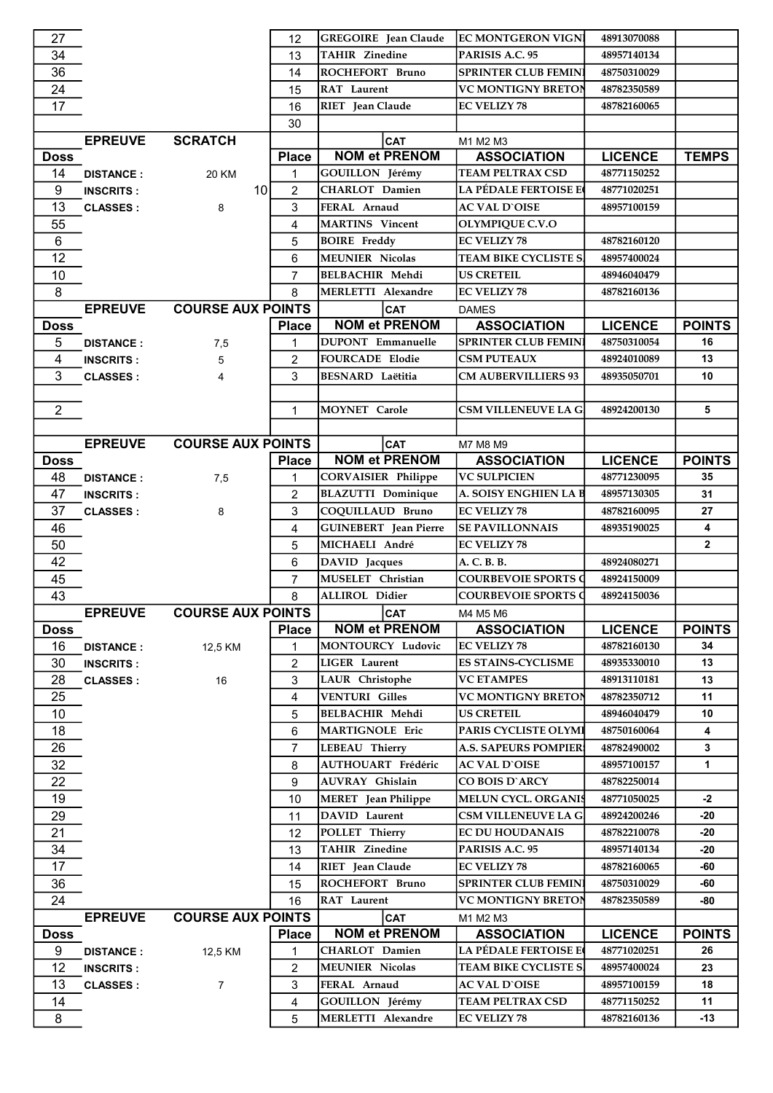| 27             |                  |                           | 12             | <b>GREGOIRE</b> Jean Claude  | <b>EC MONTGERON VIGNI</b>   | 48913070088    |               |
|----------------|------------------|---------------------------|----------------|------------------------------|-----------------------------|----------------|---------------|
| 34             |                  |                           | 13             | <b>TAHIR Zinedine</b>        | PARISIS A.C. 95             | 48957140134    |               |
| 36             |                  |                           | 14             | ROCHEFORT Bruno              | <b>SPRINTER CLUB FEMINI</b> | 48750310029    |               |
| 24             |                  |                           | 15             | RAT Laurent                  | <b>VC MONTIGNY BRETON</b>   | 48782350589    |               |
| 17             |                  |                           | 16             | RIET Jean Claude             | <b>EC VELIZY 78</b>         | 48782160065    |               |
|                |                  |                           | 30             |                              |                             |                |               |
|                | <b>EPREUVE</b>   | <b>SCRATCH</b>            |                | <b>CAT</b>                   | M1 M2 M3                    |                |               |
| <b>Doss</b>    |                  |                           | <b>Place</b>   | <b>NOM et PRENOM</b>         | <b>ASSOCIATION</b>          | <b>LICENCE</b> | <b>TEMPS</b>  |
| 14             | <b>DISTANCE:</b> | 20 KM                     | $\mathbf{1}$   | GOUILLON Jérémy              | TEAM PELTRAX CSD            | 48771150252    |               |
| 9              | <b>INSCRITS:</b> | 10                        | $\overline{2}$ | CHARLOT Damien               | <b>LA PÉDALE FERTOISE E</b> | 48771020251    |               |
| 13             | <b>CLASSES:</b>  | 8                         | 3              | FERAL Arnaud                 | <b>AC VAL D`OISE</b>        | 48957100159    |               |
| 55             |                  |                           | 4              | <b>MARTINS</b> Vincent       | OLYMPIQUE C.V.O             |                |               |
| 6              |                  |                           |                |                              | <b>EC VELIZY 78</b>         |                |               |
|                |                  |                           | 5              | <b>BOIRE</b> Freddy          |                             | 48782160120    |               |
| 12             |                  |                           | 6              | <b>MEUNIER Nicolas</b>       | TEAM BIKE CYCLISTE S.       | 48957400024    |               |
| 10             |                  |                           | $\overline{7}$ | <b>BELBACHIR Mehdi</b>       | <b>US CRETEIL</b>           | 48946040479    |               |
| 8              |                  |                           | 8              | MERLETTI Alexandre           | <b>EC VELIZY 78</b>         | 48782160136    |               |
|                | <b>EPREUVE</b>   | <b>COURSE AUX POINTS</b>  |                | <b>CAT</b>                   | <b>DAMES</b>                |                |               |
| <b>Doss</b>    |                  |                           | <b>Place</b>   | <b>NOM et PRENOM</b>         | <b>ASSOCIATION</b>          | <b>LICENCE</b> | <b>POINTS</b> |
| 5              | <b>DISTANCE:</b> | 7,5                       | 1              | <b>DUPONT</b> Emmanuelle     | SPRINTER CLUB FEMIN         | 48750310054    | 16            |
| $\overline{4}$ | <b>INSCRITS:</b> | 5                         | $\overline{2}$ | <b>FOURCADE Elodie</b>       | <b>CSM PUTEAUX</b>          | 48924010089    | 13            |
| 3              | <b>CLASSES:</b>  | 4                         | 3              | <b>BESNARD</b> Laëtitia      | <b>CM AUBERVILLIERS 93</b>  | 48935050701    | 10            |
| $\overline{2}$ |                  |                           | $\mathbf{1}$   | MOYNET Carole                | <b>CSM VILLENEUVE LA G.</b> | 48924200130    | 5             |
|                |                  |                           |                |                              |                             |                |               |
|                | <b>EPREUVE</b>   | <b>COURSE AUX POINTS</b>  |                | <b>CAT</b>                   | M7 M8 M9                    |                |               |
| <b>Doss</b>    |                  |                           | <b>Place</b>   | <b>NOM et PRENOM</b>         | <b>ASSOCIATION</b>          | <b>LICENCE</b> | <b>POINTS</b> |
| 48             | <b>DISTANCE:</b> | 7,5                       | 1              | CORVAISIER Philippe          | <b>VC SULPICIEN</b>         | 48771230095    | 35            |
| 47             |                  |                           | $\overline{2}$ | <b>BLAZUTTI</b> Dominique    | A. SOISY ENGHIEN LA B       | 48957130305    | 31            |
| 37             | <b>INSCRITS:</b> |                           | 3              | COQUILLAUD Bruno             | <b>EC VELIZY 78</b>         | 48782160095    | 27            |
| 46             | <b>CLASSES:</b>  | 8                         | $\overline{4}$ | <b>GUINEBERT</b> Jean Pierre | <b>SE PAVILLONNAIS</b>      | 48935190025    | 4             |
|                |                  |                           |                | MICHAELI André               | <b>EC VELIZY 78</b>         |                | $\mathbf{2}$  |
| 50             |                  |                           | 5              |                              | A. C. B. B.                 |                |               |
| 42             |                  |                           | 6              | DAVID Jacques                |                             | 48924080271    |               |
|                |                  |                           |                |                              |                             |                |               |
| 45             |                  |                           | $\overline{7}$ | MUSELET Christian            | <b>COURBEVOIE SPORTS O</b>  | 48924150009    |               |
| 43             |                  |                           | 8              | ALLIROL Didier               | <b>COURBEVOIE SPORTS Q</b>  | 48924150036    |               |
|                |                  | EPREUVE COURSE AUX POINTS |                | CAT                          | M4 M5 M6                    |                |               |
| <b>Doss</b>    |                  |                           | <b>Place</b>   | <b>NOM et PRENOM</b>         | <b>ASSOCIATION</b>          | <b>LICENCE</b> | <b>POINTS</b> |
| 16             | <b>DISTANCE:</b> | 12,5 KM                   | 1              | <b>MONTOURCY Ludovic</b>     | <b>EC VELIZY 78</b>         | 48782160130    | 34            |
| 30             | <b>INSCRITS:</b> |                           | $\overline{2}$ | <b>LIGER</b> Laurent         | <b>ES STAINS-CYCLISME</b>   | 48935330010    | 13            |
| 28             | <b>CLASSES:</b>  | 16                        | 3              | LAUR Christophe              | <b>VC ETAMPES</b>           | 48913110181    | 13            |
| 25             |                  |                           | 4              | <b>VENTURI Gilles</b>        | <b>VC MONTIGNY BRETON</b>   | 48782350712    | 11            |
| 10             |                  |                           | 5              | <b>BELBACHIR Mehdi</b>       | <b>US CRETEIL</b>           | 48946040479    | 10            |
| 18             |                  |                           | 6              | MARTIGNOLE Eric              | PARIS CYCLISTE OLYMI        | 48750160064    | 4             |
| 26             |                  |                           | $\overline{7}$ | <b>LEBEAU Thierry</b>        | <b>A.S. SAPEURS POMPIER</b> | 48782490002    | 3             |
| 32             |                  |                           | 8              | AUTHOUART Frédéric           | <b>AC VAL D'OISE</b>        | 48957100157    | 1             |
| 22             |                  |                           | 9              | <b>AUVRAY</b> Ghislain       | CO BOIS D'ARCY              | 48782250014    |               |
| 19             |                  |                           | 10             | MERET Jean Philippe          | <b>MELUN CYCL. ORGANIS</b>  | 48771050025    | -2            |
| 29             |                  |                           | 11             | DAVID Laurent                | <b>CSM VILLENEUVE LA G</b>  | 48924200246    | -20           |
| 21             |                  |                           | 12             | POLLET Thierry               | <b>EC DU HOUDANAIS</b>      | 48782210078    | -20           |
| 34             |                  |                           | 13             | <b>TAHIR Zinedine</b>        | PARISIS A.C. 95             | 48957140134    | -20           |
| 17             |                  |                           | 14             | RIET Jean Claude             | <b>EC VELIZY 78</b>         | 48782160065    | -60           |
| 36             |                  |                           | 15             | <b>ROCHEFORT Bruno</b>       | <b>SPRINTER CLUB FEMINI</b> | 48750310029    | -60           |
| 24             |                  |                           | 16             | RAT Laurent                  | <b>VC MONTIGNY BRETON</b>   | 48782350589    | -80           |
|                | <b>EPREUVE</b>   | <b>COURSE AUX POINTS</b>  |                | <b>CAT</b>                   | M1 M2 M3                    |                |               |
| <b>Doss</b>    |                  |                           | <b>Place</b>   | <b>NOM et PRENOM</b>         | <b>ASSOCIATION</b>          | <b>LICENCE</b> | <b>POINTS</b> |
| 9              | <b>DISTANCE:</b> | 12,5 KM                   | 1              | <b>CHARLOT</b> Damien        | <b>LA PÉDALE FERTOISE E</b> | 48771020251    | 26            |
| 12             | <b>INSCRITS:</b> |                           | $\overline{c}$ | <b>MEUNIER Nicolas</b>       | TEAM BIKE CYCLISTE S.       | 48957400024    | 23            |
| 13             | <b>CLASSES:</b>  | $\overline{7}$            | 3              | FERAL Arnaud                 | <b>AC VAL D'OISE</b>        | 48957100159    | 18            |
| 14             |                  |                           | $\overline{4}$ | <b>GOUILLON</b> Jérémy       | <b>TEAM PELTRAX CSD</b>     | 48771150252    | 11            |
| 8              |                  |                           | 5              | <b>MERLETTI Alexandre</b>    | <b>EC VELIZY 78</b>         | 48782160136    | $-13$         |